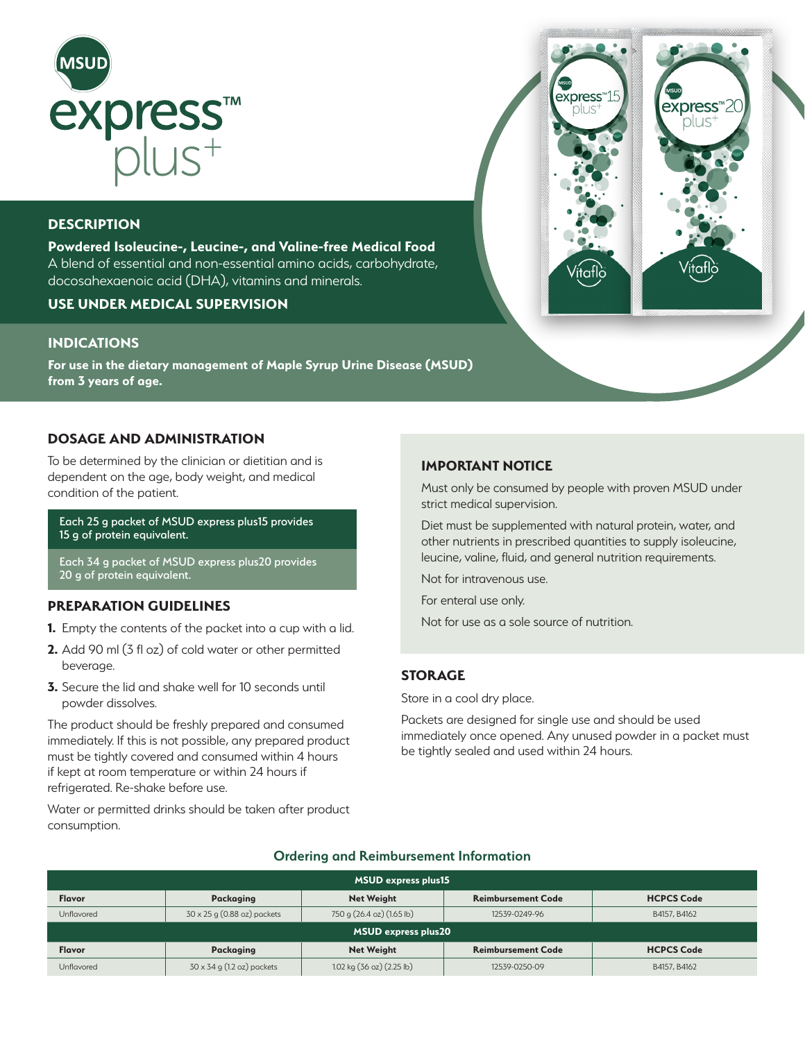

# **DESCRIPTION**

**Powdered Isoleucine-, Leucine-, and Valine-free Medical Food** A blend of essential and non-essential amino acids, carbohydrate, docosahexaenoic acid (DHA), vitamins and minerals.

## **USE UNDER MEDICAL SUPERVISION**

## **INDICATIONS**

**For use in the dietary management of Maple Syrup Urine Disease (MSUD) from 3 years of age.** 

#### **DOSAGE AND ADMINISTRATION**

To be determined by the clinician or dietitian and is dependent on the age, body weight, and medical condition of the patient.

Each 25 g packet of MSUD express plus15 provides 15 g of protein equivalent.

Each 34 g packet of MSUD express plus20 provides 20 g of protein equivalent.

## **PREPARATION GUIDELINES**

- **1.** Empty the contents of the packet into a cup with a lid.
- **2.** Add 90 ml (3 fl oz) of cold water or other permitted beverage.
- **3.** Secure the lid and shake well for 10 seconds until powder dissolves.

The product should be freshly prepared and consumed immediately. If this is not possible, any prepared product must be tightly covered and consumed within 4 hours if kept at room temperature or within 24 hours if refrigerated. Re-shake before use.

Water or permitted drinks should be taken after product consumption.

#### **IMPORTANT NOTICE**

Must only be consumed by people with proven MSUD under strict medical supervision.

Diet must be supplemented with natural protein, water, and other nutrients in prescribed quantities to supply isoleucine, leucine, valine, fluid, and general nutrition requirements.

Not for intravenous use.

For enteral use only.

Not for use as a sole source of nutrition.

#### **STORAGE**

Store in a cool dry place.

Packets are designed for single use and should be used immediately once opened. Any unused powder in a packet must be tightly sealed and used within 24 hours.

| <b>MSUD express plus15</b> |                                   |                           |                           |                   |  |  |  |
|----------------------------|-----------------------------------|---------------------------|---------------------------|-------------------|--|--|--|
| <b>Flavor</b>              | Packaging                         | <b>Net Weight</b>         | <b>Reimbursement Code</b> | <b>HCPCS Code</b> |  |  |  |
| Unflavored                 | 30 x 25 g (0.88 oz) packets       | 750 g (26.4 oz) (1.65 lb) | 12539-0249-96             | B4157, B4162      |  |  |  |
| <b>MSUD express plus20</b> |                                   |                           |                           |                   |  |  |  |
| <b>Flavor</b>              | Packaging                         | <b>Net Weight</b>         | <b>Reimbursement Code</b> | <b>HCPCS Code</b> |  |  |  |
| Unflavored                 | $30 \times 34$ g (1.2 oz) packets | 1.02 kg (36 oz) (2.25 lb) | 12539-0250-09             | B4157, B4162      |  |  |  |

#### **Ordering and Reimbursement Information**